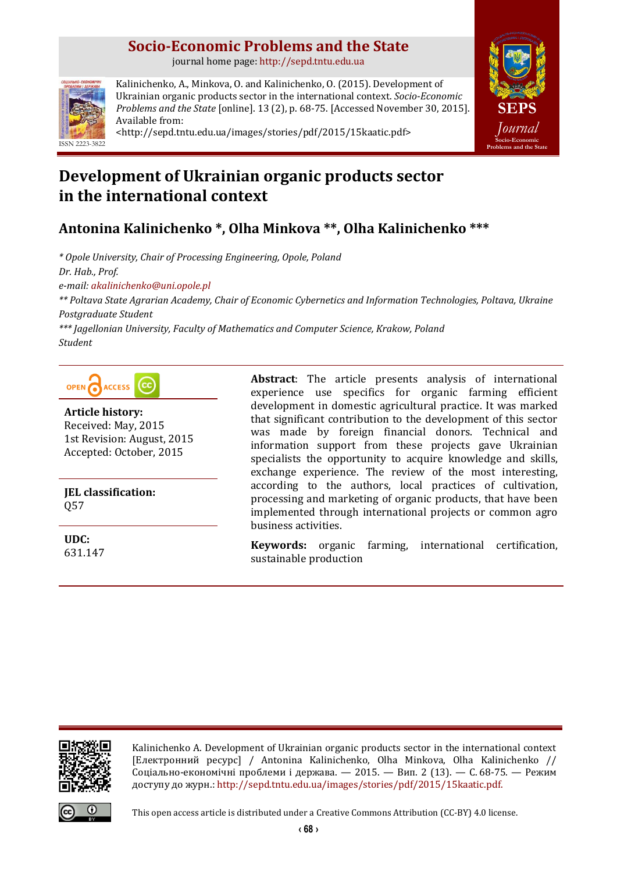# **Socio-Economic Problems and the State**

journal home page: [http://sepd.tntu.edu.ua](http://sepd.tntu.edu.ua/)



Kalinichenko, A., Minkova, O. and Kalinichenko, O. (2015). Development of Ukrainian organic products sector in the international context. *Socio-Economic Problems and the State* [online]. 13 (2), p. 68-75. [Accessed November 30, 2015]. Available from: <http://sepd.tntu.edu.ua/images/stories/pdf/2015/15kaatic.pdf>



# **Development of Ukrainian organic products sector in the international context**

# **Antonina Kalinichenko \*, Olha Minkova \*\*, Olha Kalinichenko \*\*\***

*\* Opole University, Chair of Processing Engineering, Opole, Poland Dr. Hab., Prof. e-mail: [akalinichenko@uni.opole.pl](mailto:akalinichenko@uni.opole.pl) \*\* Poltava State Agrarian Academy, Chair of Economic Cybernetics and Information Technologies, Poltava, Ukraine Postgraduate Student \*\*\* Jagellonian University, Faculty of Mathematics and Computer Science, Krakow, Poland Student*



**Article history:** Received: May, 2015 1st Revision: August, 2015 Accepted: October, 2015

**JEL classification:** Q57

**UDC:** 631.147 **Abstract**: The article presents analysis of international experience use specifics for organic farming efficient development in domestic agricultural practice. It was marked that significant contribution to the development of this sector was made by foreign financial donors. Technical and information support from these projects gave Ukrainian specialists the opportunity to acquire knowledge and skills, exchange experience. The review of the most interesting, according to the authors, local practices of cultivation, processing and marketing of organic products, that have been implemented through international projects or common agro business activities.

**Keywords:** organic farming, international certification, sustainable production



Kalinichenko A. Development of Ukrainian organic products sector in the international context [Електронний ресурс] / Antonina Kalinichenko, Olha Minkova, Olha Kalinichenko // Соціально-економічні проблеми і держава. — 2015. — Вип. 2 (13). — С. 68-75. — Режим доступу до журн.: [http://sepd.tntu.edu.ua/images/stories/pdf/2015/15kaatic.pdf.](http://sepd.tntu.edu.ua/images/stories/pdf/2015/15kaatic.pdf)



This open access article is distributed under [a Creative Commons Attribution \(CC-BY\) 4.0 license.](http://creativecommons.org/licenses/by/4.0/)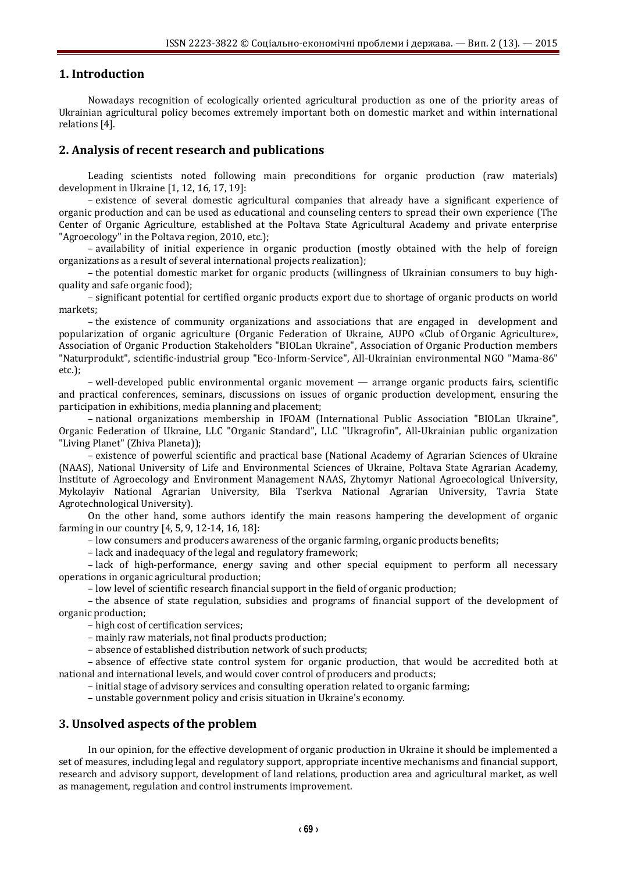## **1. Introduction**

Nowadays recognition of ecologically oriented agricultural production as one of the priority areas of Ukrainian agricultural policy becomes extremely important both on domestic market and within international relations [4].

## **2. Analysis of recent research and publications**

Leading scientists noted following main preconditions for organic production (raw materials) development in Ukraine [1, 12, 16, 17, 19]:

– existence of several domestic agricultural companies that already have a significant experience of organic production and can be used as educational and counseling centers to spread their own experience (The Center of Organic Agriculture, established at the Poltava State Agricultural Academy and private enterprise "Agroecology" in the Poltava region, 2010, etc.);

– availability of initial experience in organic production (mostly obtained with the help of foreign organizations as a result of several international projects realization);

– the potential domestic market for organic products (willingness of Ukrainian consumers to buy highquality and safe organic food);

– significant potential for certified organic products export due to shortage of organic products on world markets;

– the existence of community organizations and associations that are engaged in development and popularization of organic agriculture (Organic Federation of Ukraine, AUPO «Club of Organic Agriculture», Association of Organic Production Stakeholders "BIOLan Ukraine", Association of Organic Production members "Naturprodukt", scientific-industrial group "Eco-Inform-Service", All-Ukrainian environmental NGO "Mama-86" etc.);

– well-developed public environmental organic movement — arrange organic products fairs, scientific and practical conferences, seminars, discussions on issues of organic production development, ensuring the participation in exhibitions, media planning and placement;

– national organizations membership in IFOAM (International Public Association "BIOLan Ukraine", Organic Federation of Ukraine, LLC "Organic Standard", LLC "Ukragrofin", All-Ukrainian public organization "Living Planet" (Zhiva Planeta));

– existence of powerful scientific and practical base (National Academy of Agrarian Sciences of Ukraine (NAAS), National University of Life and Environmental Sciences of Ukraine, Poltava State Agrarian Academy, Institute of Agroecology and Environment Management NAAS, Zhytomyr National Agroecological University, Mykolayiv National Agrarian University, Bila Tserkva National Agrarian University, [Tavria State](http://www.tsatu.edu.ua/en/)  [Agrotechnological University\)](http://www.tsatu.edu.ua/en/).

On the other hand, some authors identify the main reasons hampering the development of organic farming in our country [4, 5, 9, 12-14, 16, 18]:

– low consumers and producers awareness of the organic farming, organic products benefits;

– lack and inadequacy of the legal and regulatory framework;

– lack of high-performance, energy saving and other special equipment to perform all necessary operations in organic agricultural production;

– low level of scientific research financial support in the field of organic production;

– the absence of state regulation, subsidies and programs of financial support of the development of organic production;

– high cost of certification services;

– mainly raw materials, not final products production;

– absence of established distribution network of such products;

– absence of effective state control system for organic production, that would be accredited both at national and international levels, and would cover control of producers and products;

– initial stage of advisory services and consulting operation related to organic farming;

– unstable government policy and crisis situation in Ukraine's economy.

### **3. Unsolved aspects of the problem**

In our opinion, for the effective development of organic production in Ukraine it should be implemented a set of measures, including legal and regulatory support, appropriate incentive mechanisms and financial support, research and advisory support, development of land relations, production area and agricultural market, as well as management, regulation and control instruments improvement.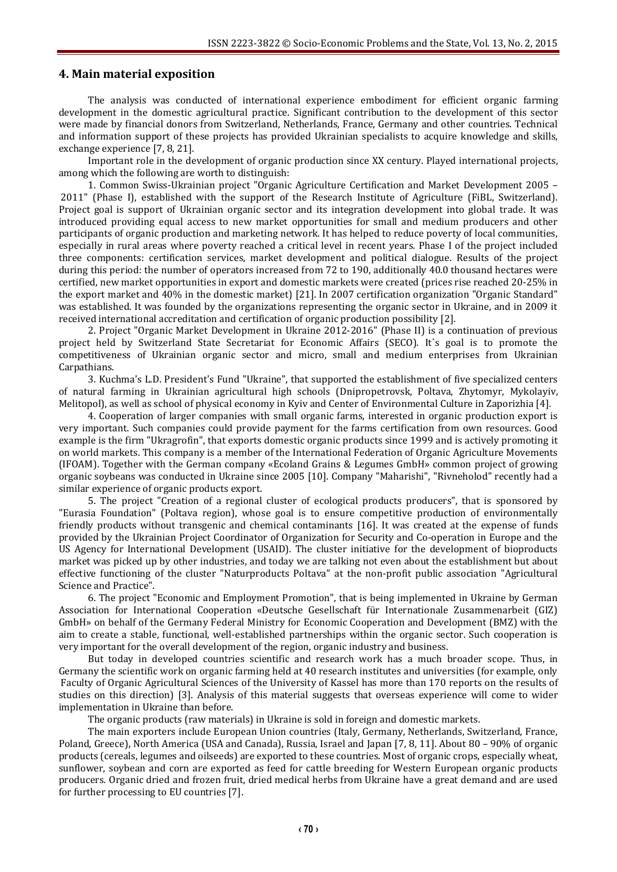### **4. Main material exposition**

The analysis was conducted of international experience embodiment for efficient organic farming development in the domestic agricultural practice. Significant contribution to the development of this sector were made by financial donors from Switzerland, Netherlands, France, Germany and other countries. Technical and information support of these projects has provided Ukrainian specialists to acquire knowledge and skills, exchange experience [7, 8, 21].

Important role in the development of organic production since XX century. Played international projects, among which the following are worth to distinguish:

1. Common Swiss-Ukrainian project "Organic Agriculture Certification and Market Development 2005 – 2011" (Phase I), established with the support of the Research Institute of Agriculture (FiBL, Switzerland). Project goal is support of Ukrainian organic sector and its integration development into global trade. It was introduced providing equal access to new market opportunities for small and medium producers and other participants of organic production and marketing network. It has helped to reduce poverty of local communities, especially in rural areas where poverty reached a critical level in recent years. Phase I of the project included three components: certification services, market development and political dialogue. Results of the project during this period: the number of operators increased from 72 to 190, additionally 40.0 thousand hectares were certified, new market opportunities in export and domestic markets were created (prices rise reached 20-25% in the export market and 40% in the domestic market) [21]. In 2007 certification organization "Organic Standard" was established. It was founded by the organizations representing the organic sector in Ukraine, and in 2009 it received international accreditation and certification of organic production possibility [2].

2. Project "Organic Market Development in Ukraine 2012-2016" (Phase II) is a continuation of previous project held by Switzerland State Secretariat for Economic Affairs (SECO). It`s goal is to promote the competitiveness of Ukrainian organic sector and micro, small and medium enterprises from Ukrainian Carpathians.

3. Kuchma's L.D. President's Fund "Ukraine", that supported the establishment of five specialized centers of natural farming in Ukrainian agricultural high schools (Dnipropetrovsk, Poltava, Zhytomyr, Mykolayiv, Melitopol), as well as school of physical economy in Kyiv and Center of Environmental Culture in Zaporizhia [4].

4. Cooperation of larger companies with small organic farms, interested in organic production export is very important. Such companies could provide payment for the farms certification from own resources. Good example is the firm "Ukragrofin", that exports domestic organic products since 1999 and is actively promoting it on world markets. This company is a member of the International Federation of Organic Agriculture Movements (IFOAM). Together with the German company «Ecoland Grains & Legumes GmbH» common project of growing organic soybeans was conducted in Ukraine since 2005 [10]. Company "Maharishi", "Rivneholod" recently had a similar experience of organic products export.

5. The project "Creation of a regional cluster of ecological products producers", that is sponsored by "Eurasia Foundation" (Poltava region), whose goal is to ensure competitive production of environmentally friendly products without transgenic and chemical contaminants [16]. It was created at the expense of funds provided by the Ukrainian Project Coordinator of Organization for Security and Co-operation in Europe and the US Agency for International Development (USAID). The cluster initiative for the development of bioproducts market was picked up by other industries, and today we are talking not even about the establishment but about effective functioning of the cluster "Naturproducts Poltava" at the non-profit public association "Agricultural Science and Practice".

6. The project "Economic and Employment Promotion", that is being implemented in Ukraine by German Association for International Cooperation «Deutsche Gesellschaft für Internationale Zusammenarbeit (GIZ) GmbH» on behalf of the Germany Federal Ministry for Economic Cooperation and Development (BMZ) with the aim to create a stable, functional, well-established partnerships within the organic sector. Such cooperation is very important for the overall development of the region, organic industry and business.

But today in developed countries scientific and research work has a much broader scope. Thus, in Germany the scientific work on organic farming held at 40 research institutes and universities (for example, only Faculty of Organic Agricultural Sciences of the University of Kassel has more than 170 reports on the results of studies on this direction) [3]. Analysis of this material suggests that overseas experience will come to wider implementation in Ukraine than before.

The organic products (raw materials) in Ukraine is sold in foreign and domestic markets.

The main exporters include European Union countries (Italy, Germany, Netherlands, Switzerland, France, Poland, Greece), North America (USA and Canada), Russia, Israel and Japan [7, 8, 11]. About 80 – 90% of organic products (cereals, legumes and oilseeds) are exported to these countries. Most of organic crops, especially wheat, sunflower, soybean and corn are exported as feed for cattle breeding for Western European organic products producers. Organic dried and frozen fruit, dried medical herbs from Ukraine have a great demand and are used for further processing to EU countries [7].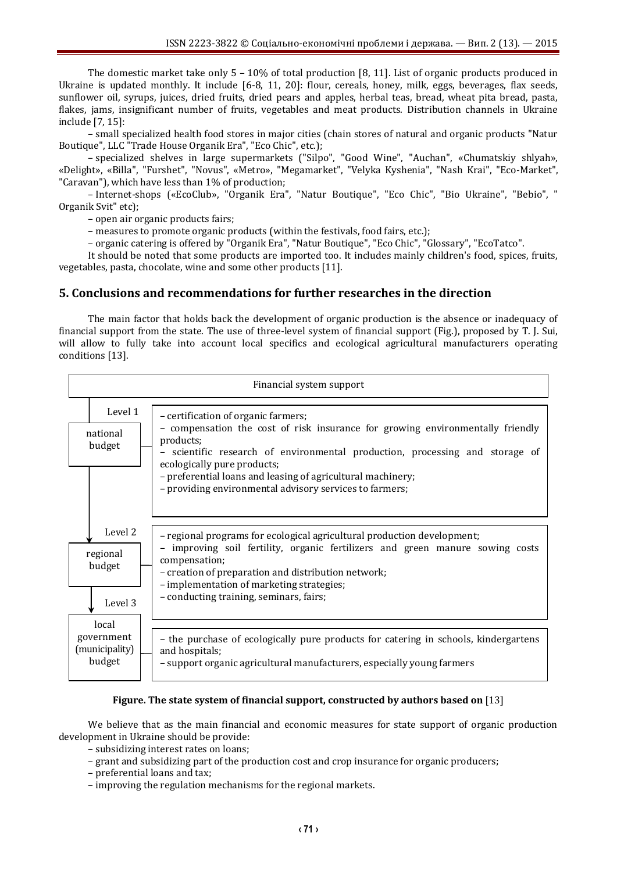The domestic market take only  $5 - 10\%$  of total production [8, 11]. List of organic products produced in Ukraine is updated monthly. It include [6-8, 11, 20]: flour, cereals, honey, milk, eggs, beverages, flax seeds, sunflower oil, syrups, juices, dried fruits, dried pears and apples, herbal teas, bread, wheat pita bread, pasta, flakes, jams, insignificant number of fruits, vegetables and meat products. Distribution channels in Ukraine include [7, 15]:

– small specialized health food stores in major cities (chain stores of natural and organic products "Natur Boutique", LLC "Trade House Organik Era", "Eco Chic", etc.);

– specialized shelves in large supermarkets ("Silpo", "Good Wine", "Auchan", «Chumatskiу shlyah», «Delight», «Billa", "Furshet", "Novus", «Metro», "Megamarket", "Velyka Kyshenia", "Nash Krai", "Eco-Market", "Caravan"), which have less than 1% of production;

– Internet-shops («EcoClub», "Organik Era", "Natur Boutique", "Eco Chic", "Bio Ukraine", "Bebio", " Organik Svit" etc);

– open air organic products fairs;

– measures to promote organic products (within the festivals, food fairs, etc.);

– organic catering is offered by "Organik Era", "Natur Boutique", "Eco Chic", "Glossary", "EcoTatco".

It should be noted that some products are imported too. It includes mainly children's food, spices, fruits, vegetables, pasta, chocolate, wine and some other products [11].

## **5. Conclusions and recommendations for further researches in the direction**

The main factor that holds back the development of organic production is the absence or inadequacy of financial support from the state. The use of three-level system of financial support (Fig.), proposed by T. J. Sui, will allow to fully take into account local specifics and ecological agricultural manufacturers operating conditions [13].

| Financial system support |                                                 |                                                                                                                                                                                                                                                                                                                                                                           |
|--------------------------|-------------------------------------------------|---------------------------------------------------------------------------------------------------------------------------------------------------------------------------------------------------------------------------------------------------------------------------------------------------------------------------------------------------------------------------|
|                          | Level 1<br>national<br>budget                   | - certification of organic farmers;<br>- compensation the cost of risk insurance for growing environmentally friendly<br>products;<br>scientific research of environmental production, processing and storage of<br>ecologically pure products;<br>- preferential loans and leasing of agricultural machinery;<br>- providing environmental advisory services to farmers; |
|                          | Level 2<br>regional<br>budget<br>Level 3        | - regional programs for ecological agricultural production development;<br>improving soil fertility, organic fertilizers and green manure sowing costs<br>compensation;<br>- creation of preparation and distribution network;<br>- implementation of marketing strategies;<br>- conducting training, seminars, fairs;                                                    |
|                          | local<br>government<br>(municipality)<br>budget | - the purchase of ecologically pure products for catering in schools, kindergartens<br>and hospitals;<br>- support organic agricultural manufacturers, especially young farmers                                                                                                                                                                                           |

### **Figure. The state system of financial support, constructed by authors based on** [13]

We believe that as the main financial and economic measures for state support of organic production development in Ukraine should be provide:

– subsidizing interest rates on loans;

– grant and subsidizing part of the production cost and crop insurance for organic producers;

- preferential loans and tax;
- improving the regulation mechanisms for the regional markets.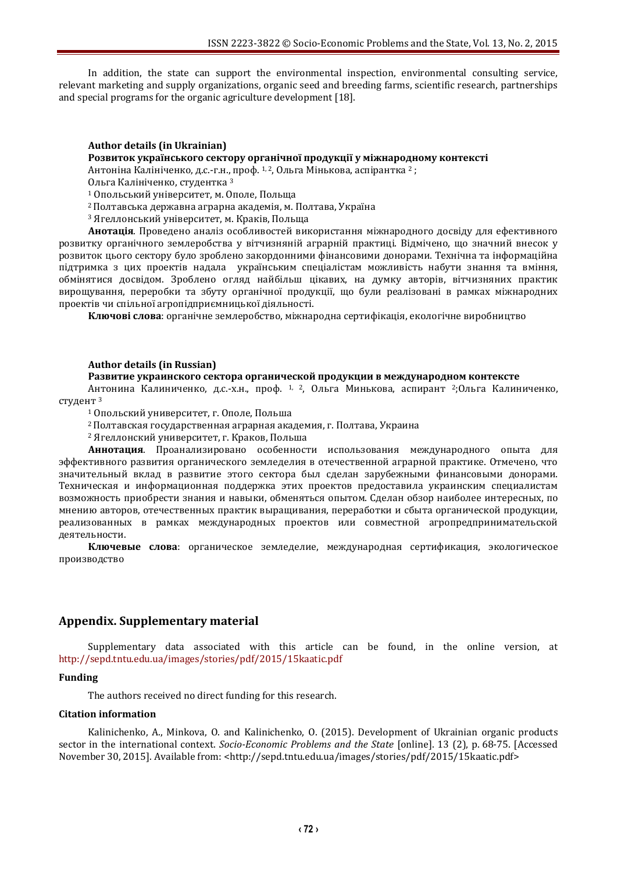In addition, the state can support the environmental inspection, environmental consulting service, relevant marketing and supply organizations, organic seed and breeding farms, scientific research, partnerships and special programs for the organic agriculture development [18].

# **Author details (in Ukrainian)**

## **Розвиток українського сектору органічної продукції у міжнародному контексті**

Антоніна Калініченко, д.с.-г.н., проф. 1, 2, Ольга Мінькова, аспірантка <sup>2</sup> ;

Ольга Калініченко, студентка <sup>3</sup>

<sup>1</sup> Опольський університет, м. Ополе, Польща

<sup>2</sup>Полтавська державна аграрна академія, м. Полтава, Україна

<sup>3</sup> Ягеллонський університет, м. Краків, Польща

**Анотація**. Проведено аналіз особливостей використання міжнародного досвіду для ефективного розвитку органічного землеробства у вітчизняній аграрній практиці. Відмічено, що значний внесок у розвиток цього сектору було зроблено закордонними фінансовими донорами. Технічна та інформаційна підтримка з цих проектів надала українським спеціалістам можливість набути знання та вміння, обмінятися досвідом. Зроблено огляд найбільш цікавих, на думку авторів, вітчизняних практик вирощування, переробки та збуту органічної продукції, що були реалізовані в рамках міжнародних проектів чи спільної агропідприємницької діяльності.

**Ключові слова**: органічне землеробство, міжнародна сертифікація, екологічне виробництво

### **Author details (in Russian)**

#### **Развитие украинского сектора органической продукции в международном контексте**

Антонина Калиниченко, д.с.-х.н., проф. 1, 2, Ольга Минькова, аспирант <sup>2</sup>;Ольга Калиниченко, студент <sup>3</sup>

<sup>1</sup> Опольский университет, г. Ополе, Польша

<sup>2</sup>Полтавская государственная аграрная академия, г. Полтава, Украина

<sup>2</sup> Ягеллонский университет, г. Краков, Польша

**Аннотация**. Проанализировано особенности использования международного опыта для эффективного развития органического земледелия в отечественной аграрной практике. Отмечено, что значительный вклад в развитие этого сектора был сделан зарубежными финансовыми донорами. Техническая и информационная поддержка этих проектов предоставила украинским специалистам возможность приобрести знания и навыки, обменяться опытом. Сделан обзор наиболее интересных, по мнению авторов, отечественных практик выращивания, переработки и сбыта органической продукции, реализованных в рамках международных проектов или совместной агропредпринимательской деятельности.

**Ключевые слова**: органическое земледелие, международная сертификация, экологическое производство

## **Appendix. Supplementary material**

Supplementary data associated with this article can be found, in the online version, at <http://sepd.tntu.edu.ua/images/stories/pdf/2015/15kaatic.pdf>

### **Funding**

The authors received no direct funding for this research.

#### **Citation information**

Kalinichenko, A., Minkova, O. and Kalinichenko, O. (2015). Development of Ukrainian organic products sector in the international context. *Socio-Economic Problems and the State* [online]. 13 (2), p. 68-75. [Accessed November 30, 2015]. Available from: <http://sepd.tntu.edu.ua/images/stories/pdf/2015/15kaatic.pdf>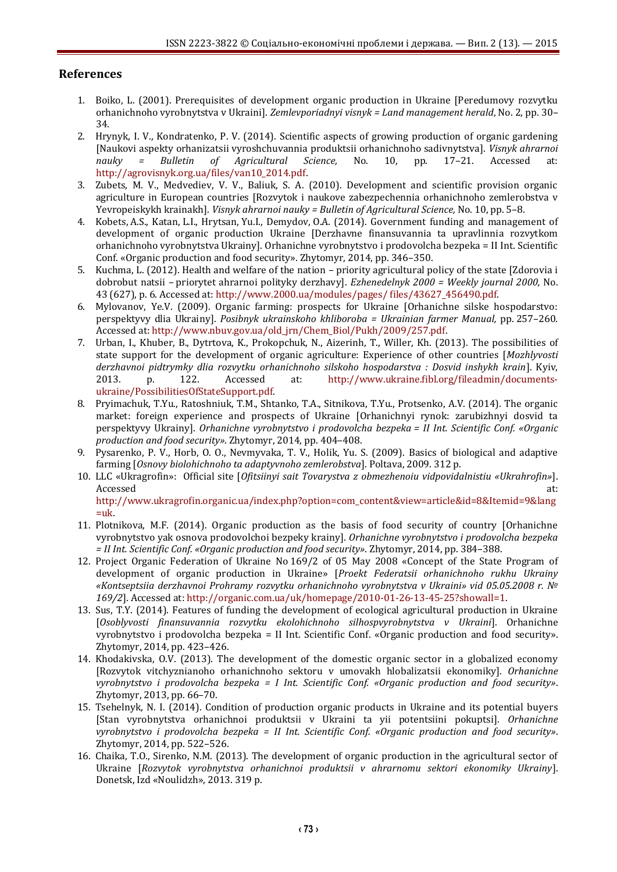# **References**

- 1. Boiko, L. (2001). Prerequisites of development organic production in Ukraine [Peredumovy rozvytku orhanichnoho vyrobnytstva v Ukraini]. *Zemlevporiadnyi visnyk = Land management herald*, No. 2, pp. 30– 34.
- 2. Hrynyk, I. V., Kondratenko, P. V. (2014). Scientific aspects of growing production of organic gardening [Naukovi aspekty orhanizatsii vyroshchuvannia produktsii orhanichnoho sadivnytstva]. *Visnyk ahrarnoi nauky = Bulletin of Agricultural Science,* No. 10, pp. 17–21. Accessed at: [http://agrovisnyk.org.ua/files/van10\\_2014.pdf.](http://agrovisnyk.org.ua/files/van10_2014.pdf)
- 3. Zubets, M. V., Medvediev, V. V., Baliuk, S. A. (2010). Development and scientific provision organic agriculture in European countries [Rozvytok i naukove zabezpechennia orhanichnoho zemlerobstva v Yevropeiskykh krainakh]. *Visnyk ahrarnoi nauky = Bulletin of Agricultural Science,* No. 10, pp. 5–8.
- 4. Kobets, A.S., Katan, L.I., Hrytsan, Yu.I., Demydov, O.A. (2014). Government funding and management of development of organic production Ukraine [Derzhavne finansuvannia ta upravlinnia rozvytkom orhanichnoho vyrobnytstva Ukrainy]. Orhanichne vyrobnytstvo i prodovolcha bezpeka = ІІ Int. Scientific Conf. «Organic production and food security». Zhytomyr, 2014, pp. 346–350.
- 5. Kuchma, L. (2012). Health and welfare of the nation priority agricultural policy of the state [Zdorovia i dobrobut natsii – priorytet ahrarnoi polityky derzhavy]. *Ezhenedelnyk 2000 = Weekly journal 2000,* No. 43 (627), p. 6. Accessed at[: http://www.2000.ua/modules/pages/ files/43627\\_456490.pdf.](http://www.2000.ua/modules/pages/%20files/43627_456490.pdf)
- 6. Mylovanov, Ye.V. (2009). Organic farming: prospects for Ukraine [Orhanichne silske hospodarstvo: perspektyvy dlia Ukrainy]. *Posibnyk ukrainskoho khliboroba = Ukrainian farmer Manual,* pp. 257–260. Accessed at: [http://www.nbuv.gov.ua/old\\_jrn/Chem\\_Biol/Pukh/2009/257.pdf.](http://www.nbuv.gov.ua/old_jrn/Chem_Biol/Pukh/2009/257.pdf)
- 7. Urban, I., Khuber, B., Dytrtova, K., Prokopchuk, N., Aizerinh, T., Willer, Kh. (2013). The possibilities of state support for the development of organic agriculture: Experience of other countries [*Mozhlyvosti derzhavnoi pidtrymky dlia rozvytku orhanichnoho silskoho hospodarstva : Dosvid inshykh krain*]. Kyiv, 2013. p. 122. Accessed at: [http://www.ukraine.fibl.org/fileadmin/documents](http://www.ukraine.fibl.org/fileadmin/documents-ukraine/PossibilitiesOfStateSupport.pdf)[ukraine/PossibilitiesOfStateSupport.pdf.](http://www.ukraine.fibl.org/fileadmin/documents-ukraine/PossibilitiesOfStateSupport.pdf)
- 8. Pryimachuk, T.Yu., Ratoshniuk, T.M., Shtanko, T.A., Sitnikova, T.Yu., Protsenko, A.V. (2014). The organic market: foreign experience and prospects of Ukraine [Orhanichnyi rynok: zarubizhnyi dosvid ta perspektyvy Ukrainy]. *Orhanichne vyrobnytstvo i prodovolcha bezpeka = ІІ Int. Scientific Conf. «Organic production and food security»*. Zhytomyr, 2014, pp. 404–408.
- 9. Pysarenko, P. V., Horb, O. O., Nevmyvaka, T. V., Holik, Yu. S. (2009). Basics of biological and adaptive farming [*Osnovy biolohichnoho ta adaptyvnoho zemlerobstva*]. Poltava, 2009. 312 p.
- 10. LLC «Ukragrofin»: Official site [*Ofitsiinyi sait Tovarystva z obmezhenoiu vidpovidalnistiu «Ukrahrofin»*]. Accessed at: the contract of the contract of the contract of the contract of the contract of the contract of the contract of the contract of the contract of the contract of the contract of the contract of the contract of t [http://www.ukragrofin.organic.ua/index.php?option=com\\_content&view=article&id=8&Itemid=9&lang](http://www.ukragrofin.organic.ua/index.php?option=com_content&view=article&id=8&Itemid=9&lang=uk)
- $=$ uk. 11. Plotnikova, M.F. (2014). Organic production as the basis of food security of country [Orhanichne vyrobnytstvo yak osnova prodovolchoi bezpeky krainy]. *Orhanichne vyrobnytstvo i prodovolcha bezpeka = ІІ Int. Scientific Conf. «Organic production and food security»*. Zhytomyr, 2014, pp. 384–388.
- 12. Project Organic Federation of Ukraine No 169/2 of 05 May 2008 «Concept of the State Program of development of organic production in Ukraine» [*Proekt Federatsii orhanichnoho rukhu Ukrainy «Kontseptsiia derzhavnoi Prohramy rozvytku orhanichnoho vyrobnytstva v Ukraini» vid 05.05.2008 r. № 169/2*]. Accessed at[: http://organic.com.ua/uk/homepage/2010-01-26-13-45-25?showall=1.](http://organic.com.ua/uk/homepage/2010-01-26-13-45-25?showall=1)
- 13. Sus, T.Y. (2014). Features of funding the development of ecological agricultural production in Ukraine [*Osoblyvosti finansuvannia rozvytku ekolohichnoho silhospvyrobnytstva v Ukraini*]. Orhanichne vyrobnytstvo i prodovolcha bezpeka = ІІ Int. Scientific Conf. «Organic production and food security». Zhytomyr, 2014, pp. 423–426.
- 14. Khodakivska, O.V. (2013). The development of the domestic organic sector in a globalized economy [Rozvytok vitchyznianoho orhanichnoho sektoru v umovakh hlobalizatsii ekonomiky]. *Orhanichne vyrobnytstvo i prodovolcha bezpeka = І Int. Scientific Conf. «Organic production and food security»*. Zhytomyr, 2013, pp. 66–70.
- 15. Tsehelnyk, N. I. (2014). Condition of production organic products in Ukraine and its potential buyers [Stan vyrobnytstva orhanichnoi produktsii v Ukraini ta yii potentsiini pokuptsi]. *Orhanichne vyrobnytstvo i prodovolcha bezpeka = ІІ Int. Scientific Conf. «Organic production and food security»*. Zhytomyr, 2014, pp. 522–526.
- 16. Chaika, T.O., Sirenko, N.M. (2013). The development of organic production in the agricultural sector of Ukraine [*Rozvytok vyrobnytstva orhanichnoi produktsii v ahrarnomu sektori ekonomiky Ukrainy*]. Donetsk, Izd «Noulidzh», 2013. 319 p.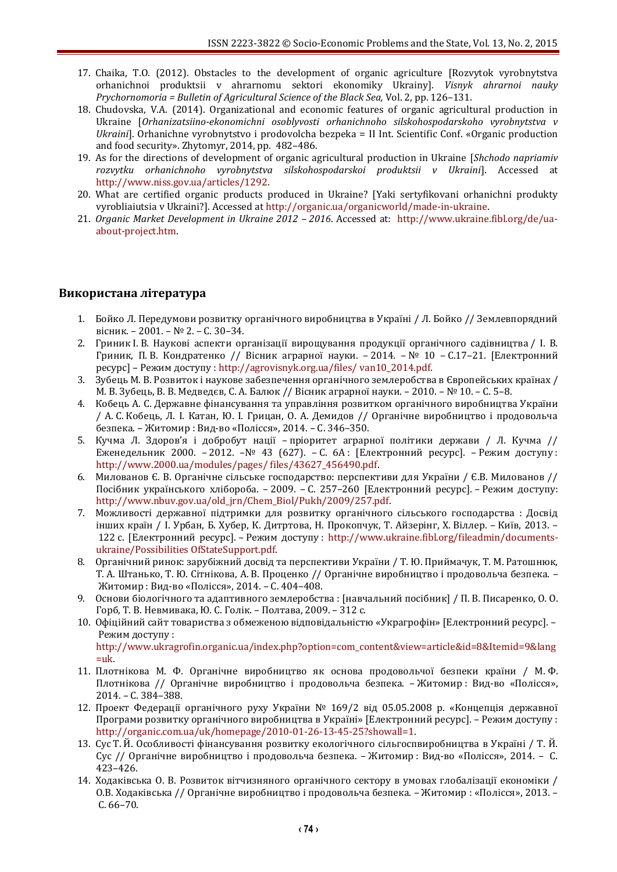- 17. Chaika, T.O. (2012). Obstacles to the development of organic agriculture [Rozvytok vyrobnytstva orhanichnoi produktsii v ahrarnomu sektori ekonomiky Ukrainy]. *Visnyk ahrarnoi nauky Prychornomoria = Bulletin of Agricultural Science of the Black Sea,* Vol. 2, pp. 126–131.
- 18. Chudovska, V.A. (2014). Organizational and economic features of organic agricultural production in Ukraine [*Orhanizatsiino-ekonomichni osoblyvosti orhanichnoho silskohospodarskoho vyrobnytstva v Ukraini*]. Orhanichne vyrobnytstvo i prodovolcha bezpeka = ІІ Int. Scientific Conf. «Organic production and food security». Zhytomyr, 2014, pp. 482–486.
- 19. As for the directions of development of organic agricultural production in Ukraine [*Shchodo napriamiv rozvytku orhanichnoho vyrobnytstva silskohospodarskoi produktsii v Ukraini*]. Accessed at [http://www.niss.gov.ua/articles/1292.](http://www.niss.gov.ua/articles/1292/)
- 20. What are certified organic products produced in Ukraine? [Yaki sertyfikovani orhanichni produkty vyrobliaiutsia v Ukraini?]. Accessed a[t http://organic.ua/organicworld/made-in-ukraine.](http://organic.ua/organicworld/made-in-ukraine)
- 21. *Organic Market Development in Ukraine 2012 – 2016*. Accessed at: [http://www.ukraine.fibl.org/de/ua](http://www.ukraine.fibl.org/de/ua-about-project.htm)[about-project.htm.](http://www.ukraine.fibl.org/de/ua-about-project.htm)

# **Використана література**

- 1. Бойко Л. Передумови розвитку органічного виробництва в Україні / Л. Бойко // Землевпорядний вісник. – 2001. – № 2. – С. 30–34.
- 2. Гриник І. В. Наукові аспекти організації вирощування продукції органічного садівництва / І. В. Гриник, П. В. Кондратенко // Вісник аграрної науки. – 2014. – № 10 – С.17–21. [Електронний ресурс] – Режим доступу : [http://agrovisnyk.org.ua/files/ van10\\_2014.pdf.](http://agrovisnyk.org.ua/files/%20van10_2014.pdf)
- 3. Зубець М. В. Розвиток і наукове забезпечення органічного землеробства в Європейських країнах / М. В. Зубець, В. В. Медведєв, С. А. Балюк // Вісник аграрної науки. – 2010. – № 10. – С. 5–8.
- 4. Кобець А. С. Державне фінансування та управління розвитком органічного виробництва України / А. С. Кобець, Л. І. Катан, Ю. І. Грицан, О. А. Демидов // Органічне виробництво і продовольча безпека. – Житомир : Вид-во «Полісся», 2014. – С. 346–350.
- 5. Кучма Л. Здоров'я і добробут нації пріоритет аграрної політики держави / Л. Кучма // Еженедельник 2000. – 2012. –№ 43 (627). – С. 6А : [Електронний ресурс]. – Режим доступу : [http://www.2000.ua/modules/pages/ files/43627\\_456490.pdf.](http://www.2000.ua/modules/pages/%20files/43627_456490.pdf)
- 6. Милованов Є. В. Органічне сільське господарство: перспективи для України / Є.В. Милованов // Посібник українського хлібороба. – 2009. – С. 257–260 [Електронний ресурс]. – Режим доступу: [http://www.nbuv.gov.ua/old\\_jrn/Chem\\_Biol/Pukh/2009/257.pdf.](http://www.nbuv.gov.ua/old_jrn/Chem_Biol/Pukh/2009/257.pdf)
- 7. Можливості державної підтримки для розвитку органічного сільського господарства : Досвід інших країн / І. Урбан, Б. Хубер, К. Дитртова, Н. Прокопчук, Т. Айзерінг, Х. Віллер. – Київ, 2013. – 122 с. [Електронний ресурс]. – Режим доступу : [http://www.ukraine.fibl.org/fileadmin/documents](http://www.ukraine.fibl.org/fileadmin/documents-ukraine/Possibilities%20OfStateSupport.pdf)[ukraine/Possibilities OfStateSupport.pdf.](http://www.ukraine.fibl.org/fileadmin/documents-ukraine/Possibilities%20OfStateSupport.pdf)
- 8. Органічний ринок: зарубіжний досвід та перспективи України / Т. Ю. Приймачук, Т. М. Ратошнюк, Т. А. Штанько, Т. Ю. Сітнікова, А. В. Проценко // Органічне виробництво і продовольча безпека. – Житомир : Вид-во «Полісся», 2014. – С. 404–408.
- 9. Основи біологічного та адаптивного землеробства : [навчальний посібник] / П. В. Писаренко, О. О. Горб, Т. В. Невмивака, Ю. С. Голік. – Полтава, 2009. – 312 с.
- 10. Офіційний сайт товариства з обмеженою відповідальністю «Украгрофін» [Електронний ресурс]. Режим доступу :

[http://www.ukragrofin.organic.ua/index.php?option=com\\_content&view=article&id=8&Itemid=9&lang](http://www.ukragrofin.organic.ua/index.php?option=com_content&view=article&id=8&Itemid=9&lang=uk)  $=$ uk.

- 11. Плотнікова М. Ф. Органічне виробництво як основа продовольчої безпеки країни / М. Ф. Плотнікова // Органічне виробництво і продовольча безпека. – Житомир : Вид-во «Полісся», 2014. – С. 384–388.
- 12. Проект Федерації органічного руху України № 169/2 від 05.05.2008 р. «Концепція державної Програми розвитку органічного виробництва в Україні» [Електронний ресурс]. – Режим доступу : [http://organic.com.ua/uk/homepage/2010-01-26-13-45-25?showall=1.](http://organic.com.ua/uk/homepage/2010-01-26-13-45-25?showall=1)
- 13. Сус Т. Й. Особливості фінансування розвитку екологічного сільгоспвиробництва в Україні / Т. Й. Сус // Органічне виробництво і продовольча безпека. – Житомир : Вид-во «Полісся», 2014. – С. 423–426.
- 14. Ходаківська О. В. Розвиток вітчизняного органічного сектору в умовах глобалізації економіки / О.В. Ходаківська // Органічне виробництво і продовольча безпека. – Житомир : «Полісся», 2013. – С. 66–70.